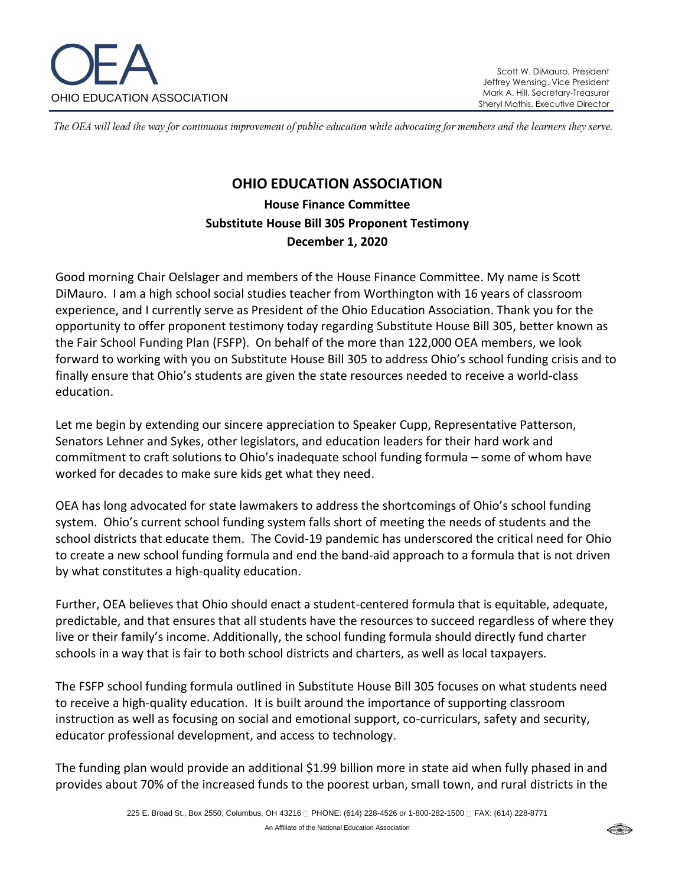

The OEA will lead the way for continuous improvement of public education while advocating for members and the learners they serve.

# **OHIO EDUCATION ASSOCIATION**

**House Finance Committee Substitute House Bill 305 Proponent Testimony December 1, 2020**

Good morning Chair Oelslager and members of the House Finance Committee. My name is Scott DiMauro. I am a high school social studies teacher from Worthington with 16 years of classroom experience, and I currently serve as President of the Ohio Education Association. Thank you for the opportunity to offer proponent testimony today regarding Substitute House Bill 305, better known as the Fair School Funding Plan (FSFP). On behalf of the more than 122,000 OEA members, we look forward to working with you on Substitute House Bill 305 to address Ohio's school funding crisis and to finally ensure that Ohio's students are given the state resources needed to receive a world-class education.

Let me begin by extending our sincere appreciation to Speaker Cupp, Representative Patterson, Senators Lehner and Sykes, other legislators, and education leaders for their hard work and commitment to craft solutions to Ohio's inadequate school funding formula – some of whom have worked for decades to make sure kids get what they need.

OEA has long advocated for state lawmakers to address the shortcomings of Ohio's school funding system. Ohio's current school funding system falls short of meeting the needs of students and the school districts that educate them. The Covid-19 pandemic has underscored the critical need for Ohio to create a new school funding formula and end the band-aid approach to a formula that is not driven by what constitutes a high-quality education.

Further, OEA believes that Ohio should enact a student-centered formula that is equitable, adequate, predictable, and that ensures that all students have the resources to succeed regardless of where they live or their family's income. Additionally, the school funding formula should directly fund charter schools in a way that is fair to both school districts and charters, as well as local taxpayers.

The FSFP school funding formula outlined in Substitute House Bill 305 focuses on what students need to receive a high-quality education. It is built around the importance of supporting classroom instruction as well as focusing on social and emotional support, co-curriculars, safety and security, educator professional development, and access to technology.

The funding plan would provide an additional \$1.99 billion more in state aid when fully phased in and provides about 70% of the increased funds to the poorest urban, small town, and rural districts in the

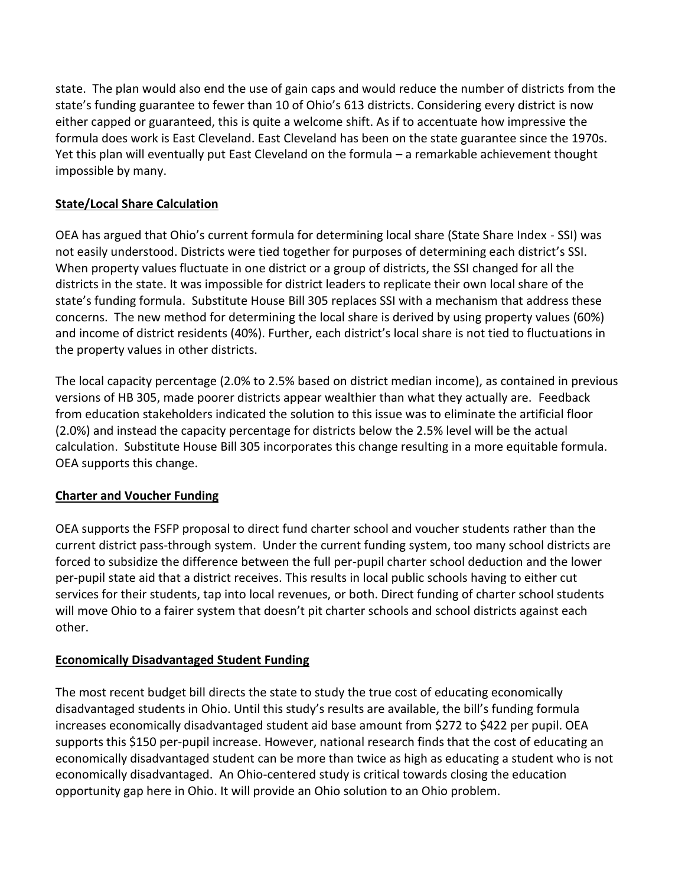state. The plan would also end the use of gain caps and would reduce the number of districts from the state's funding guarantee to fewer than 10 of Ohio's 613 districts. Considering every district is now either capped or guaranteed, this is quite a welcome shift. As if to accentuate how impressive the formula does work is East Cleveland. East Cleveland has been on the state guarantee since the 1970s. Yet this plan will eventually put East Cleveland on the formula – a remarkable achievement thought impossible by many.

## **State/Local Share Calculation**

OEA has argued that Ohio's current formula for determining local share (State Share Index - SSI) was not easily understood. Districts were tied together for purposes of determining each district's SSI. When property values fluctuate in one district or a group of districts, the SSI changed for all the districts in the state. It was impossible for district leaders to replicate their own local share of the state's funding formula. Substitute House Bill 305 replaces SSI with a mechanism that address these concerns. The new method for determining the local share is derived by using property values (60%) and income of district residents (40%). Further, each district's local share is not tied to fluctuations in the property values in other districts.

The local capacity percentage (2.0% to 2.5% based on district median income), as contained in previous versions of HB 305, made poorer districts appear wealthier than what they actually are. Feedback from education stakeholders indicated the solution to this issue was to eliminate the artificial floor (2.0%) and instead the capacity percentage for districts below the 2.5% level will be the actual calculation. Substitute House Bill 305 incorporates this change resulting in a more equitable formula. OEA supports this change.

# **Charter and Voucher Funding**

OEA supports the FSFP proposal to direct fund charter school and voucher students rather than the current district pass-through system. Under the current funding system, too many school districts are forced to subsidize the difference between the full per-pupil charter school deduction and the lower per-pupil state aid that a district receives. This results in local public schools having to either cut services for their students, tap into local revenues, or both. Direct funding of charter school students will move Ohio to a fairer system that doesn't pit charter schools and school districts against each other.

### **Economically Disadvantaged Student Funding**

The most recent budget bill directs the state to study the true cost of educating economically disadvantaged students in Ohio. Until this study's results are available, the bill's funding formula increases economically disadvantaged student aid base amount from \$272 to \$422 per pupil. OEA supports this \$150 per-pupil increase. However, national research finds that the cost of educating an economically disadvantaged student can be more than twice as high as educating a student who is not economically disadvantaged. An Ohio-centered study is critical towards closing the education opportunity gap here in Ohio. It will provide an Ohio solution to an Ohio problem.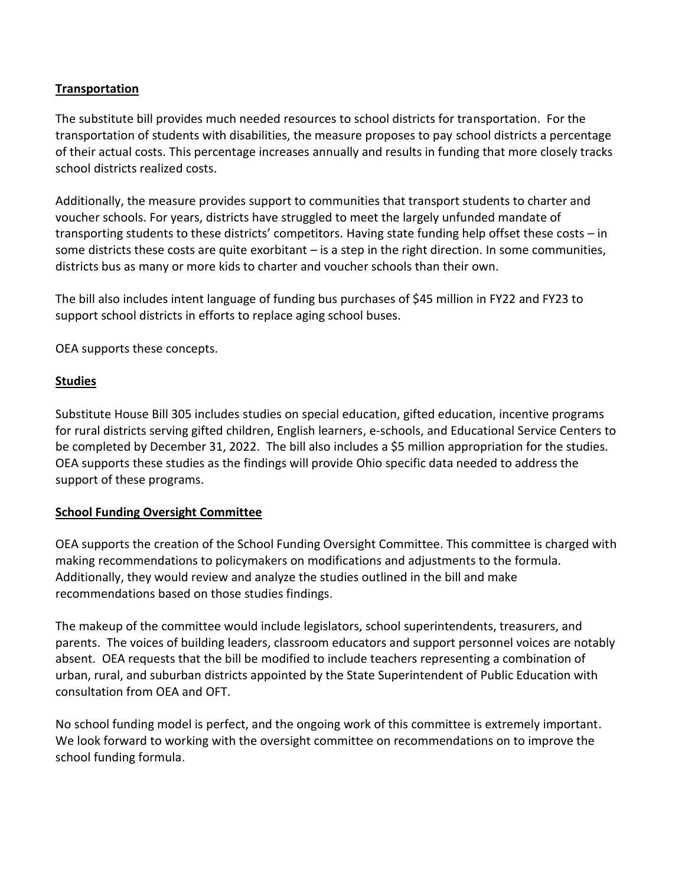### **Transportation**

The substitute bill provides much needed resources to school districts for transportation. For the transportation of students with disabilities, the measure proposes to pay school districts a percentage of their actual costs. This percentage increases annually and results in funding that more closely tracks school districts realized costs.

Additionally, the measure provides support to communities that transport students to charter and voucher schools. For years, districts have struggled to meet the largely unfunded mandate of transporting students to these districts' competitors. Having state funding help offset these costs – in some districts these costs are quite exorbitant – is a step in the right direction. In some communities, districts bus as many or more kids to charter and voucher schools than their own.

The bill also includes intent language of funding bus purchases of \$45 million in FY22 and FY23 to support school districts in efforts to replace aging school buses.

OEA supports these concepts.

## **Studies**

Substitute House Bill 305 includes studies on special education, gifted education, incentive programs for rural districts serving gifted children, English learners, e-schools, and Educational Service Centers to be completed by December 31, 2022. The bill also includes a \$5 million appropriation for the studies. OEA supports these studies as the findings will provide Ohio specific data needed to address the support of these programs.

### **School Funding Oversight Committee**

OEA supports the creation of the School Funding Oversight Committee. This committee is charged with making recommendations to policymakers on modifications and adjustments to the formula. Additionally, they would review and analyze the studies outlined in the bill and make recommendations based on those studies findings.

The makeup of the committee would include legislators, school superintendents, treasurers, and parents. The voices of building leaders, classroom educators and support personnel voices are notably absent. OEA requests that the bill be modified to include teachers representing a combination of urban, rural, and suburban districts appointed by the State Superintendent of Public Education with consultation from OEA and OFT.

No school funding model is perfect, and the ongoing work of this committee is extremely important. We look forward to working with the oversight committee on recommendations on to improve the school funding formula.